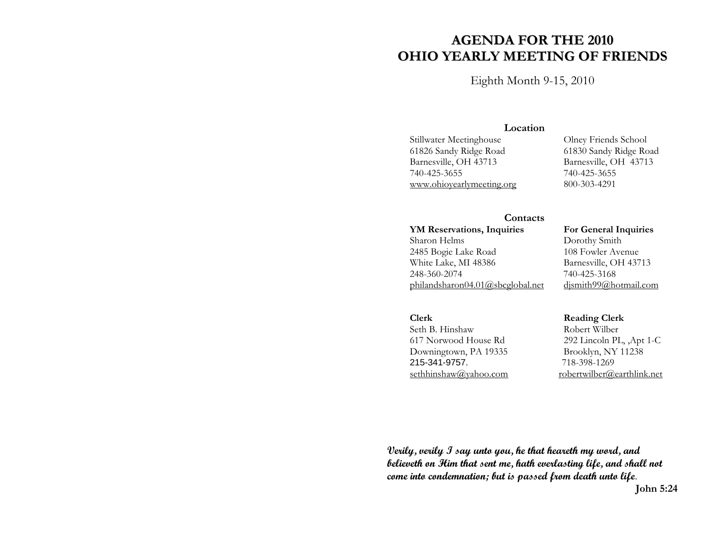# **AGENDA FOR THE 2010 OHIO YEARLY MEETING OF FRIENDS**

Eighth Month 9-15, 2010

## **Location**

61826 Sandy Ridge Road 61830 Sandy Ridge Road 740-425-3655 740-425-3655 www.ohioyearlymeeting.org 800-303-4291

Stillwater Meetinghouse Olney Friends School Barnesville, OH 43713

### **Contacts**

YM Reservations, Inquiries **For General Inquiries** Sharon Helms Dorothy Smith 2485 Bogie Lake Road 108 Fowler Avenue White Lake, MI 48386 Barnesville, OH 43713 248-360-2074 740-425-3168 philandsharon04.01@sbcglobal.net djsmith99@hotmail.com

Seth B. Hinshaw Robert Wilber Downingtown, PA 19335 Brooklyn, NY 11238 215-341-9757. 718-398-1269

**Clerk Reading Clerk** 

617 Norwood House Rd 292 Lincoln PL, ,Apt 1-C sethhinshaw@yahoo.com robertwilber@earthlink.net

**Verily, verily I say unto you, he that heareth my word, and believeth on Him that sent me, hath everlasting life, and shall not come into condemnation; but is passed from death unto life**. **John 5:24**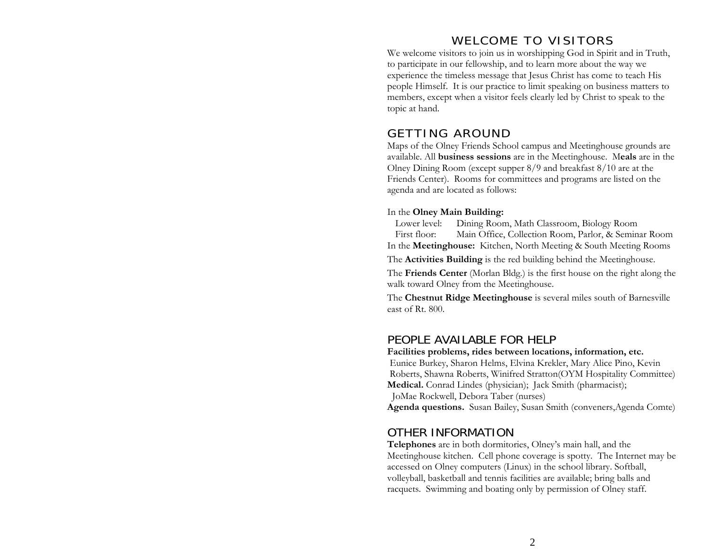# WELCOME TO VISITORS

We welcome visitors to join us in worshipping God in Spirit and in Truth, to participate in our fellowship, and to learn more about the way we experience the timeless message that Jesus Christ has come to teach His people Himself. It is our practice to limit speaking on business matters to members, except when a visitor feels clearly led by Christ to speak to the topic at hand.

## GETTING AROUND

Maps of the Olney Friends School campus and Meetinghouse grounds are available. All **business sessions** are in the Meetinghouse. M**eals** are in the Olney Dining Room (except supper 8/9 and breakfast 8/10 are at the Friends Center). Rooms for committees and programs are listed on the agenda and are located as follows:

#### In the **Olney Main Building:**

Lower level: Dining Room, Math Classroom, Biology Room First floor: Main Office, Collection Room, Parlor, & Seminar Room In the **Meetinghouse:** Kitchen, North Meeting & South Meeting Rooms

The **Activities Building** is the red building behind the Meetinghouse.

The **Friends Center** (Morlan Bldg.) is the first house on the right along the walk toward Olney from the Meetinghouse.

The **Chestnut Ridge Meetinghouse** is several miles south of Barnesville east of Rt. 800.

## PEOPLE AVAILABLE FOR HELP

#### **Facilities problems, rides between locations, information, etc.**

 Eunice Burkey, Sharon Helms, Elvina Krekler, Mary Alice Pino, Kevin Roberts, Shawna Roberts, Winifred Stratton(OYM Hospitality Committee) **Medical.** Conrad Lindes (physician); Jack Smith (pharmacist); JoMae Rockwell, Debora Taber (nurses)

**Agenda questions.** Susan Bailey, Susan Smith (conveners,Agenda Comte)

## OTHER INFORMATION

**Telephones** are in both dormitories, Olney's main hall, and the Meetinghouse kitchen. Cell phone coverage is spotty. The Internet may be accessed on Olney computers (Linux) in the school library. Softball, volleyball, basketball and tennis facilities are available; bring balls and racquets. Swimming and boating only by permission of Olney staff.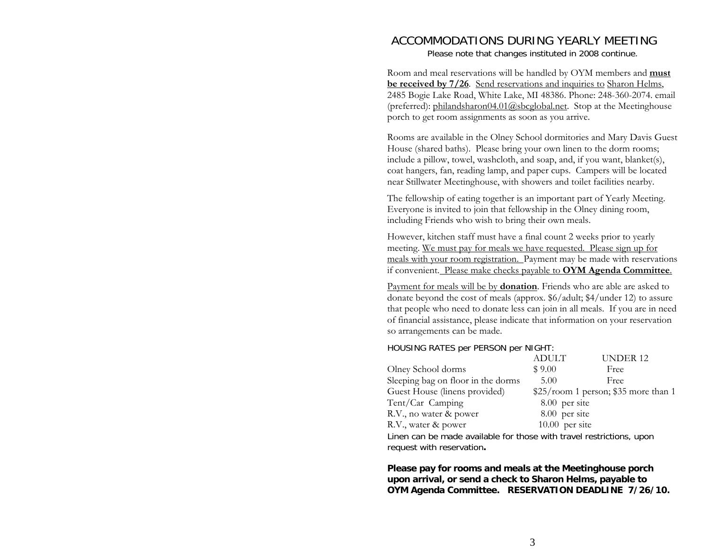## ACCOMMODATIONS DURING YEARLY MEETING Please note that changes instituted in 2008 continue.

Room and meal reservations will be handled by OYM members and **must be received by 7/26**. Send reservations and inquiries to Sharon Helms, 2485 Bogie Lake Road, White Lake, MI 48386. Phone: 248-360-2074. email (preferred): philandsharon04.01@sbcglobal.net. Stop at the Meetinghouse porch to get room assignments as soon as you arrive.

Rooms are available in the Olney School dormitories and Mary Davis Guest House (shared baths). Please bring your own linen to the dorm rooms; include a pillow, towel, washcloth, and soap, and, if you want, blanket(s), coat hangers, fan, reading lamp, and paper cups. Campers will be located near Stillwater Meetinghouse, with showers and toilet facilities nearby.

The fellowship of eating together is an important part of Yearly Meeting. Everyone is invited to join that fellowship in the Olney dining room, including Friends who wish to bring their own meals.

However, kitchen staff must have a final count 2 weeks prior to yearly meeting. We must pay for meals we have requested. Please sign up for meals with your room registration. Payment may be made with reservations if convenient. Please make checks payable to **OYM Agenda Committee**.

Payment for meals will be by **donation**. Friends who are able are asked to donate beyond the cost of meals (approx. \$6/adult; \$4/under 12) to assure that people who need to donate less can join in all meals. If you are in need of financial assistance, please indicate that information on your reservation so arrangements can be made.

## HOUSING RATES per PERSON per NIGHT:

|                                                                                                                | <b>ADULT</b>   | UNDER <sub>12</sub>                  |
|----------------------------------------------------------------------------------------------------------------|----------------|--------------------------------------|
| Olney School dorms                                                                                             | \$9.00         | Free                                 |
| Sleeping bag on floor in the dorms                                                                             | 5.00           | Free                                 |
| Guest House (linens provided)                                                                                  |                | \$25/room 1 person; \$35 more than 1 |
| Tent/Car Camping                                                                                               | 8.00 per site  |                                      |
| R.V., no water & power                                                                                         | 8.00 per site  |                                      |
| R.V., water & power                                                                                            | 10.00 per site |                                      |
| The complete the complete constituting from the complete three of constituting in the complete of the complete |                |                                      |

Linen can be made available for those with travel restrictions, upon request with reservation**.** 

**Please pay for rooms and meals at the Meetinghouse porch upon arrival, or send a check to Sharon Helms, payable to OYM Agenda Committee. RESERVATION DEADLINE 7/26/10.**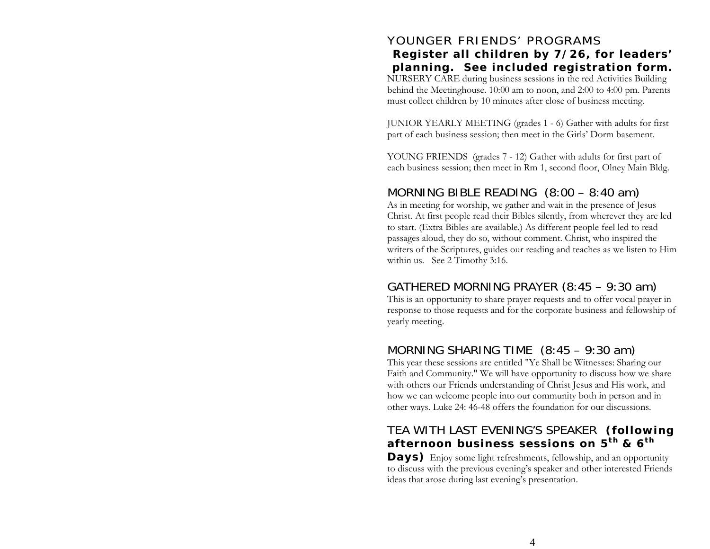# YOUNGER FRIENDS' PROGRAMS **Register all children by 7/26, for leaders' planning. See included registration form.**

NURSERY CARE during business sessions in the red Activities Building behind the Meetinghouse. 10:00 am to noon, and 2:00 to 4:00 pm. Parents must collect children by 10 minutes after close of business meeting.

JUNIOR YEARLY MEETING (grades 1 - 6) Gather with adults for first part of each business session; then meet in the Girls' Dorm basement.

YOUNG FRIENDS (grades 7 - 12) Gather with adults for first part of each business session; then meet in Rm 1, second floor, Olney Main Bldg.

# MORNING BIBLE READING (8:00 – 8:40 am)

As in meeting for worship, we gather and wait in the presence of Jesus Christ. At first people read their Bibles silently, from wherever they are led to start. (Extra Bibles are available.) As different people feel led to read passages aloud, they do so, without comment. Christ, who inspired the writers of the Scriptures, guides our reading and teaches as we listen to Him within us. See 2 Timothy 3:16.

# GATHERED MORNING PRAYER (8:45 – 9:30 am)

This is an opportunity to share prayer requests and to offer vocal prayer in response to those requests and for the corporate business and fellowship of yearly meeting.

# MORNING SHARING TIME (8:45 – 9:30 am)

This year these sessions are entitled "Ye Shall be Witnesses: Sharing our Faith and Community." We will have opportunity to discuss how we share with others our Friends understanding of Christ Jesus and His work, and how we can welcome people into our community both in person and in other ways. Luke 24: 46-48 offers the foundation for our discussions.

# TEA WITH LAST EVENING'S SPEAKER **(following afternoon business sessions on 5th & 6th**

**Days)** Enjoy some light refreshments, fellowship, and an opportunity to discuss with the previous evening's speaker and other interested Friends ideas that arose during last evening's presentation.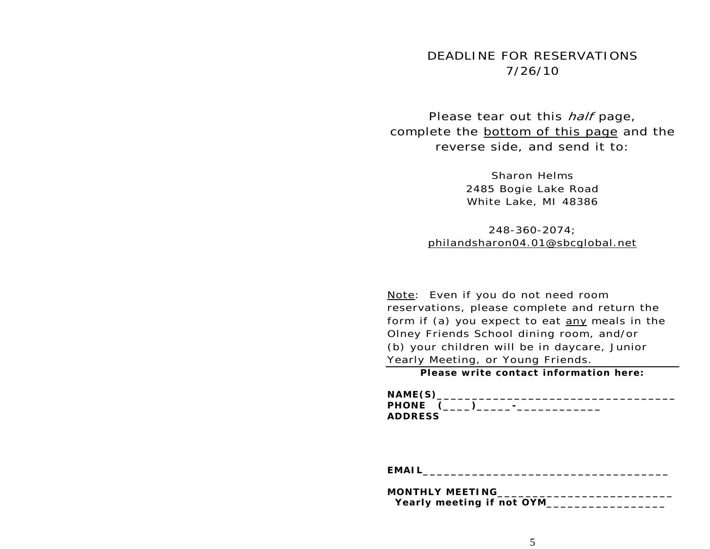# DEADLINE FOR RESERVATIONS 7/26/10

Please tear out this *half* page, complete the **bottom** of this page and the reverse side, and send it to:

> Sharon Helms 2485 Bogie Lake Road White Lake, MI 48386

248-360-2074; philandsharon04.01@sbcglobal.net

Note: Even if you do not need room reservations, please complete and return the form if (a) you expect to eat any meals in the Olney Friends School dining room, and/or (b) your children will be in daycare, Junior Yearly Meeting, or Young Friends.

**Please write contact information here:** 

| NAME(S)<br>______________________________ |  |
|-------------------------------------------|--|
| PHONE (____)_____-_-___________           |  |
| <b>ADDRESS</b>                            |  |

**EMAIL\_\_\_\_\_\_\_\_\_\_\_\_\_\_\_\_\_\_\_\_\_\_\_\_\_\_\_\_\_\_\_\_\_\_\_** 

| <b>MONTHLY MEETING</b>                           |  |
|--------------------------------------------------|--|
| Yearly meeting if not OYM_<br>__________________ |  |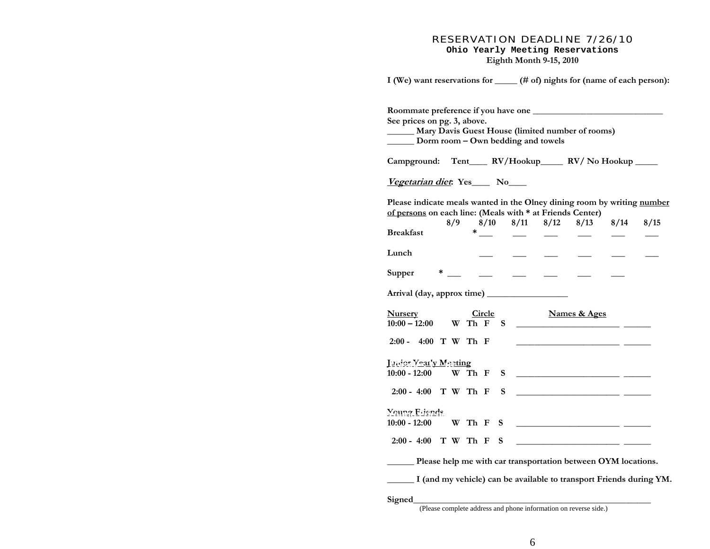#### RESERVATION DEADLINE 7/26/10 **Ohio Yearly Meeting Reservations Eighth Month 9-15, 2010**

| I (We) want reservations for _____ (# of) nights for (name of each person):                                                          |                                                                                                                                                                                                                                                                                                                                                                                             |   |                          |                      |                                                                                                                       |      |      |
|--------------------------------------------------------------------------------------------------------------------------------------|---------------------------------------------------------------------------------------------------------------------------------------------------------------------------------------------------------------------------------------------------------------------------------------------------------------------------------------------------------------------------------------------|---|--------------------------|----------------------|-----------------------------------------------------------------------------------------------------------------------|------|------|
| See prices on pg. 3, above.<br>Mary Davis Guest House (limited number of rooms)<br>Dorm room – Own bedding and towels                |                                                                                                                                                                                                                                                                                                                                                                                             |   |                          |                      |                                                                                                                       |      |      |
| Campground: Tent____ RV/Hookup_____ RV/No Hookup ____                                                                                |                                                                                                                                                                                                                                                                                                                                                                                             |   |                          |                      |                                                                                                                       |      |      |
| Vegetarian diet: Yes____ No____                                                                                                      |                                                                                                                                                                                                                                                                                                                                                                                             |   |                          |                      |                                                                                                                       |      |      |
| Please indicate meals wanted in the Olney dining room by writing number<br>of persons on each line: (Meals with * at Friends Center) | 8/9                                                                                                                                                                                                                                                                                                                                                                                         |   |                          | $8/10$ $8/11$ $8/12$ | 8/13                                                                                                                  | 8/14 | 8/15 |
| <b>Breakfast</b>                                                                                                                     |                                                                                                                                                                                                                                                                                                                                                                                             |   | $\overline{\phantom{0}}$ |                      |                                                                                                                       |      |      |
| Lunch                                                                                                                                |                                                                                                                                                                                                                                                                                                                                                                                             |   |                          |                      |                                                                                                                       |      |      |
| Supper                                                                                                                               | $\begin{picture}(20,20) \put(0,0){\dashbox{0.5}(5,0){ }} \put(15,0){\circle{10}} \put(15,0){\circle{10}} \put(15,0){\circle{10}} \put(15,0){\circle{10}} \put(15,0){\circle{10}} \put(15,0){\circle{10}} \put(15,0){\circle{10}} \put(15,0){\circle{10}} \put(15,0){\circle{10}} \put(15,0){\circle{10}} \put(15,0){\circle{10}} \put(15,0){\circle{10}} \put(15,0){\circle{10}} \put(15,0$ |   |                          |                      |                                                                                                                       |      |      |
|                                                                                                                                      |                                                                                                                                                                                                                                                                                                                                                                                             |   |                          |                      |                                                                                                                       |      |      |
| <b>Nursery</b><br>$10:00 - 12:00$ W Th F S                                                                                           | Circle                                                                                                                                                                                                                                                                                                                                                                                      |   |                          |                      | <b>Names &amp; Ages</b><br><u> 1989 - Andrea Stadt Britain, marwolaeth a bh</u>                                       |      |      |
| 2:00 - 4:00 T W Th F                                                                                                                 |                                                                                                                                                                                                                                                                                                                                                                                             |   |                          |                      | <u> 1990 - Jan Stein Berlin, amerikansk politik</u>                                                                   |      |      |
| <u>Junier Yearly Meeting</u><br>$10:00 - 12:00$                                                                                      | W Th F                                                                                                                                                                                                                                                                                                                                                                                      | S |                          |                      | <u> 1989 - Johann Harry Harry Harry Harry Harry Harry Harry Harry Harry Harry Harry Harry Harry Harry Harry Harry</u> |      |      |
| 2:00 - 4:00 T W Th F                                                                                                                 |                                                                                                                                                                                                                                                                                                                                                                                             | S |                          |                      | <u> 1980 - Andrea Andrew Maria (b. 1980)</u>                                                                          |      |      |
| <u>Voung Friends</u><br>$10:00 - 12:00$                                                                                              | W Th F                                                                                                                                                                                                                                                                                                                                                                                      | S |                          |                      |                                                                                                                       |      |      |
| 2:00 - 4:00 T W Th F                                                                                                                 |                                                                                                                                                                                                                                                                                                                                                                                             | S |                          |                      |                                                                                                                       |      |      |
| Please help me with car transportation between OYM locations.                                                                        |                                                                                                                                                                                                                                                                                                                                                                                             |   |                          |                      |                                                                                                                       |      |      |
| I (and my vehicle) can be available to transport Friends during YM.                                                                  |                                                                                                                                                                                                                                                                                                                                                                                             |   |                          |                      |                                                                                                                       |      |      |
| Signed                                                                                                                               |                                                                                                                                                                                                                                                                                                                                                                                             |   |                          |                      |                                                                                                                       |      |      |

(Please complete address and phone information on reverse side.)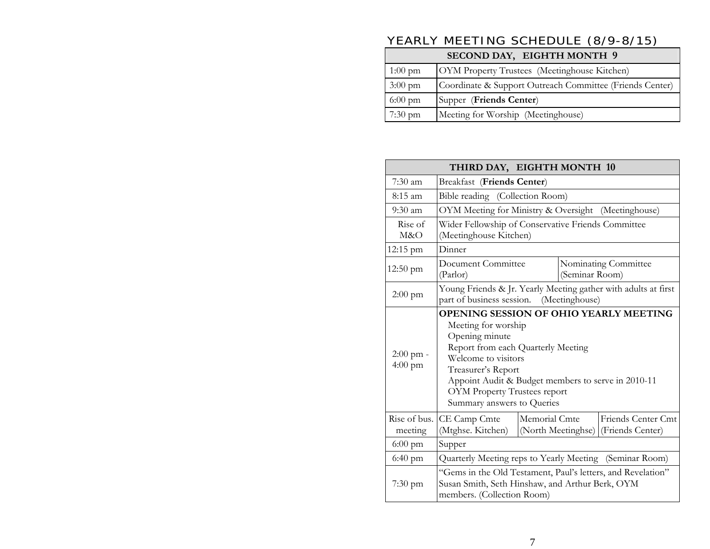# YEARLY MEETING SCHEDULE (8/9-8/15)

| SECOND DAY, EIGHTH MONTH 9 |                                                          |  |  |
|----------------------------|----------------------------------------------------------|--|--|
| $1:00 \text{ pm}$          | OYM Property Trustees (Meetinghouse Kitchen)             |  |  |
| $3:00 \text{ pm}$          | Coordinate & Support Outreach Committee (Friends Center) |  |  |
| $6:00 \text{ pm}$          | Supper (Friends Center)                                  |  |  |
| $7:30$ pm                  | Meeting for Worship (Meetinghouse)                       |  |  |
|                            |                                                          |  |  |

| THIRD DAY, EIGHTH MONTH 10                     |                                                                                                                                                                                                                                                                                                      |               |                    |                                        |
|------------------------------------------------|------------------------------------------------------------------------------------------------------------------------------------------------------------------------------------------------------------------------------------------------------------------------------------------------------|---------------|--------------------|----------------------------------------|
| $7:30$ am<br><b>Breakfast</b> (Friends Center) |                                                                                                                                                                                                                                                                                                      |               |                    |                                        |
| 8:15 am                                        | Bible reading (Collection Room)                                                                                                                                                                                                                                                                      |               |                    |                                        |
| $9:30 \text{ am}$                              | OYM Meeting for Ministry & Oversight (Meetinghouse)                                                                                                                                                                                                                                                  |               |                    |                                        |
| Rise of<br>M&O                                 | Wider Fellowship of Conservative Friends Committee<br>(Meetinghouse Kitchen)                                                                                                                                                                                                                         |               |                    |                                        |
| 12:15 pm                                       | Dinner                                                                                                                                                                                                                                                                                               |               |                    |                                        |
| $12:50 \text{ pm}$                             | Document Committee<br>Nominating Committee<br>(Seminar Room)<br>(Parlor)                                                                                                                                                                                                                             |               |                    |                                        |
| $2:00 \text{ pm}$                              | Young Friends & Jr. Yearly Meeting gather with adults at first<br>part of business session.<br>(Meetinghouse)                                                                                                                                                                                        |               |                    |                                        |
| $2:00$ pm -<br>$4:00 \text{ pm}$               | <b>OPENING SESSION OF OHIO YEARLY MEETING</b><br>Meeting for worship<br>Opening minute<br>Report from each Quarterly Meeting<br>Welcome to visitors<br>Treasurer's Report<br>Appoint Audit & Budget members to serve in 2010-11<br><b>OYM Property Trustees report</b><br>Summary answers to Queries |               |                    |                                        |
| Rise of bus.<br>meeting                        | CE Camp Cmte<br>(Mtghse. Kitchen)                                                                                                                                                                                                                                                                    | Memorial Cmte | (North Meetinghse) | Friends Center Cmt<br>(Friends Center) |
| $6:00 \text{ pm}$                              | Supper                                                                                                                                                                                                                                                                                               |               |                    |                                        |
| $6:40 \text{ pm}$                              | Quarterly Meeting reps to Yearly Meeting (Seminar Room)                                                                                                                                                                                                                                              |               |                    |                                        |
| $7:30 \text{ pm}$                              | "Gems in the Old Testament, Paul's letters, and Revelation"<br>Susan Smith, Seth Hinshaw, and Arthur Berk, OYM<br>members. (Collection Room)                                                                                                                                                         |               |                    |                                        |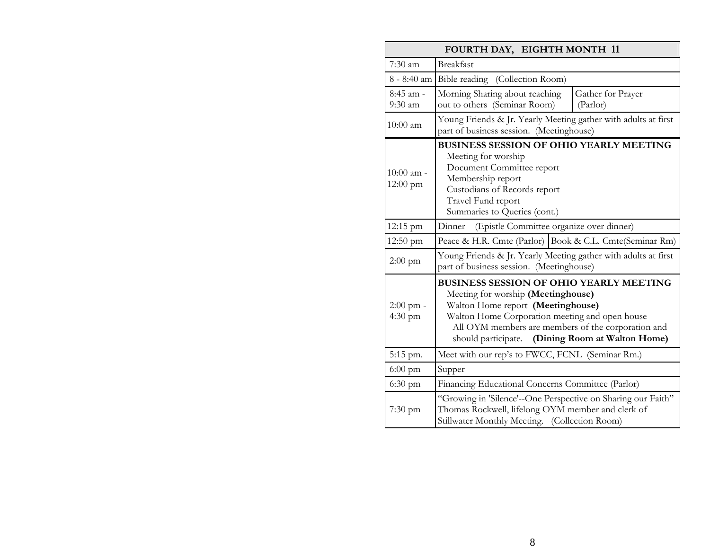| FOURTH DAY, EIGHTH MONTH 11      |                                                                                                                                                                                                                                                                                          |  |  |
|----------------------------------|------------------------------------------------------------------------------------------------------------------------------------------------------------------------------------------------------------------------------------------------------------------------------------------|--|--|
| $7:30$ am                        | <b>Breakfast</b>                                                                                                                                                                                                                                                                         |  |  |
|                                  | 8 - 8:40 am Bible reading (Collection Room)                                                                                                                                                                                                                                              |  |  |
| 8:45 am -<br>$9:30$ am           | Morning Sharing about reaching<br>Gather for Prayer<br>out to others (Seminar Room)<br>(Parlor)                                                                                                                                                                                          |  |  |
| $10:00$ am                       | Young Friends & Jr. Yearly Meeting gather with adults at first<br>part of business session. (Meetinghouse)                                                                                                                                                                               |  |  |
| 10:00 am -<br>$12:00 \text{ pm}$ | <b>BUSINESS SESSION OF OHIO YEARLY MEETING</b><br>Meeting for worship<br>Document Committee report<br>Membership report<br>Custodians of Records report<br>Travel Fund report<br>Summaries to Queries (cont.)                                                                            |  |  |
| 12:15 pm                         | (Epistle Committee organize over dinner)<br>Dinner                                                                                                                                                                                                                                       |  |  |
| 12:50 pm                         | Peace & H.R. Cmte (Parlor) Book & C.L. Cmte (Seminar Rm)                                                                                                                                                                                                                                 |  |  |
| $2:00$ pm                        | Young Friends & Jr. Yearly Meeting gather with adults at first<br>part of business session. (Meetinghouse)                                                                                                                                                                               |  |  |
| 2:00 pm -<br>$4:30 \text{ pm}$   | <b>BUSINESS SESSION OF OHIO YEARLY MEETING</b><br>Meeting for worship (Meetinghouse)<br>Walton Home report (Meetinghouse)<br>Walton Home Corporation meeting and open house<br>All OYM members are members of the corporation and<br>(Dining Room at Walton Home)<br>should participate. |  |  |
| 5:15 pm.                         | Meet with our rep's to FWCC, FCNL (Seminar Rm.)                                                                                                                                                                                                                                          |  |  |
| $6:00 \text{ pm}$                | Supper                                                                                                                                                                                                                                                                                   |  |  |
| $6:30$ pm                        | Financing Educational Concerns Committee (Parlor)                                                                                                                                                                                                                                        |  |  |
| $7:30 \text{ pm}$                | "Growing in 'Silence'--One Perspective on Sharing our Faith"<br>Thomas Rockwell, lifelong OYM member and clerk of<br>Stillwater Monthly Meeting. (Collection Room)                                                                                                                       |  |  |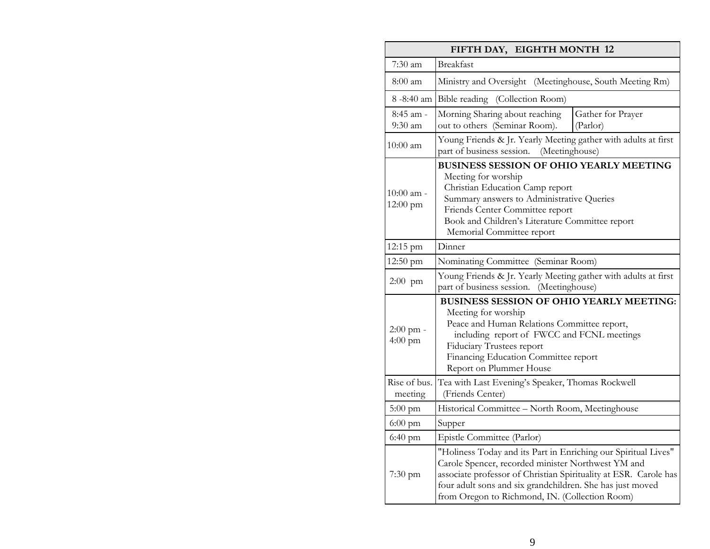| FIFTH DAY, EIGHTH MONTH 12 |                                                                                                                                                                                                                                                                                                         |  |  |  |
|----------------------------|---------------------------------------------------------------------------------------------------------------------------------------------------------------------------------------------------------------------------------------------------------------------------------------------------------|--|--|--|
| 7:30 am                    | <b>Breakfast</b>                                                                                                                                                                                                                                                                                        |  |  |  |
| 8:00 am                    | Ministry and Oversight (Meetinghouse, South Meeting Rm)                                                                                                                                                                                                                                                 |  |  |  |
|                            | 8-8:40 am Bible reading (Collection Room)                                                                                                                                                                                                                                                               |  |  |  |
| 8:45 am -<br>$9:30$ am     | Morning Sharing about reaching<br>Gather for Prayer<br>out to others (Seminar Room).<br>(Parlor)                                                                                                                                                                                                        |  |  |  |
| $10:00$ am                 | Young Friends & Jr. Yearly Meeting gather with adults at first<br>part of business session. (Meetinghouse)                                                                                                                                                                                              |  |  |  |
| 10:00 am -<br>12:00 pm     | <b>BUSINESS SESSION OF OHIO YEARLY MEETING</b><br>Meeting for worship<br>Christian Education Camp report<br>Summary answers to Administrative Queries<br>Friends Center Committee report<br>Book and Children's Literature Committee report<br>Memorial Committee report                                |  |  |  |
| 12:15 pm                   | Dinner                                                                                                                                                                                                                                                                                                  |  |  |  |
| 12:50 pm                   | Nominating Committee (Seminar Room)                                                                                                                                                                                                                                                                     |  |  |  |
| $2:00$ pm                  | Young Friends & Jr. Yearly Meeting gather with adults at first<br>part of business session. (Meetinghouse)                                                                                                                                                                                              |  |  |  |
| 2:00 pm -<br>$4:00$ pm     | <b>BUSINESS SESSION OF OHIO YEARLY MEETING:</b><br>Meeting for worship<br>Peace and Human Relations Committee report,<br>including report of FWCC and FCNL meetings<br><b>Fiduciary Trustees report</b><br>Financing Education Committee report<br>Report on Plummer House                              |  |  |  |
| Rise of bus.<br>meeting    | Tea with Last Evening's Speaker, Thomas Rockwell<br>(Friends Center)                                                                                                                                                                                                                                    |  |  |  |
| $5:00$ pm                  | Historical Committee - North Room, Meetinghouse                                                                                                                                                                                                                                                         |  |  |  |
| $6:00$ pm                  | Supper                                                                                                                                                                                                                                                                                                  |  |  |  |
| $6:40$ pm                  | Epistle Committee (Parlor)                                                                                                                                                                                                                                                                              |  |  |  |
| $7:30$ pm                  | "Holiness Today and its Part in Enriching our Spiritual Lives"<br>Carole Spencer, recorded minister Northwest YM and<br>associate professor of Christian Spirituality at ESR. Carole has<br>four adult sons and six grandchildren. She has just moved<br>from Oregon to Richmond, IN. (Collection Room) |  |  |  |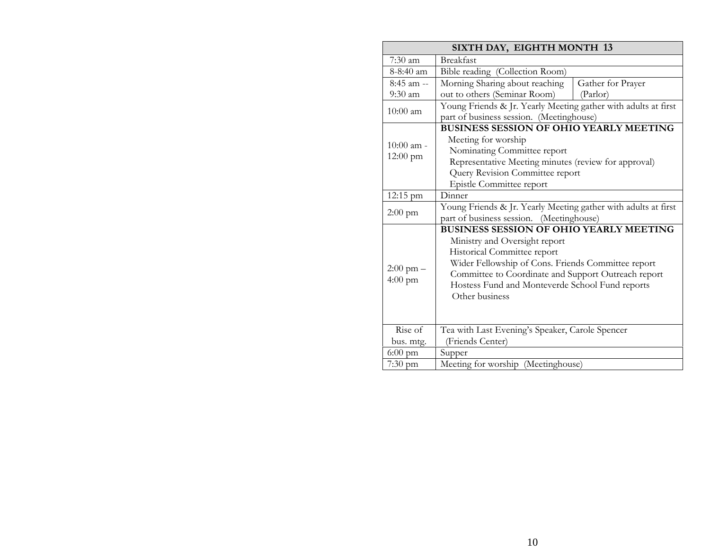| SIXTH DAY, EIGHTH MONTH 13                                          |                                                                |                   |  |
|---------------------------------------------------------------------|----------------------------------------------------------------|-------------------|--|
| $7:30$ am                                                           | <b>Breakfast</b>                                               |                   |  |
| $8-8:40$ am                                                         | Bible reading (Collection Room)                                |                   |  |
| 8:45 am --                                                          | Morning Sharing about reaching                                 | Gather for Prayer |  |
| $9:30$ am                                                           | out to others (Seminar Room)                                   | (Parlor)          |  |
| $10:00$ am                                                          | Young Friends & Jr. Yearly Meeting gather with adults at first |                   |  |
|                                                                     | part of business session. (Meetinghouse)                       |                   |  |
|                                                                     | <b>BUSINESS SESSION OF OHIO YEARLY MEETING</b>                 |                   |  |
| $10:00$ am -                                                        | Meeting for worship                                            |                   |  |
| $12:00 \text{ pm}$                                                  | Nominating Committee report                                    |                   |  |
|                                                                     | Representative Meeting minutes (review for approval)           |                   |  |
|                                                                     | Query Revision Committee report                                |                   |  |
|                                                                     | Epistle Committee report                                       |                   |  |
| 12:15 pm                                                            | Dinner                                                         |                   |  |
| $2:00 \text{ pm}$                                                   | Young Friends & Jr. Yearly Meeting gather with adults at first |                   |  |
|                                                                     | part of business session. (Meetinghouse)                       |                   |  |
|                                                                     | <b>BUSINESS SESSION OF OHIO YEARLY MEETING</b>                 |                   |  |
|                                                                     | Ministry and Oversight report                                  |                   |  |
|                                                                     | Historical Committee report                                    |                   |  |
| Wider Fellowship of Cons. Friends Committee report<br>$2:00$ pm $-$ |                                                                |                   |  |
| $4:00$ pm                                                           | Committee to Coordinate and Support Outreach report            |                   |  |
|                                                                     | Hostess Fund and Monteverde School Fund reports                |                   |  |
|                                                                     | Other business                                                 |                   |  |
|                                                                     |                                                                |                   |  |
|                                                                     |                                                                |                   |  |
| Rise of                                                             | Tea with Last Evening's Speaker, Carole Spencer                |                   |  |
| bus. mtg.                                                           | (Friends Center)                                               |                   |  |
| $6:00 \text{ pm}$                                                   | Supper                                                         |                   |  |
| $7:30$ pm                                                           | Meeting for worship (Meetinghouse)                             |                   |  |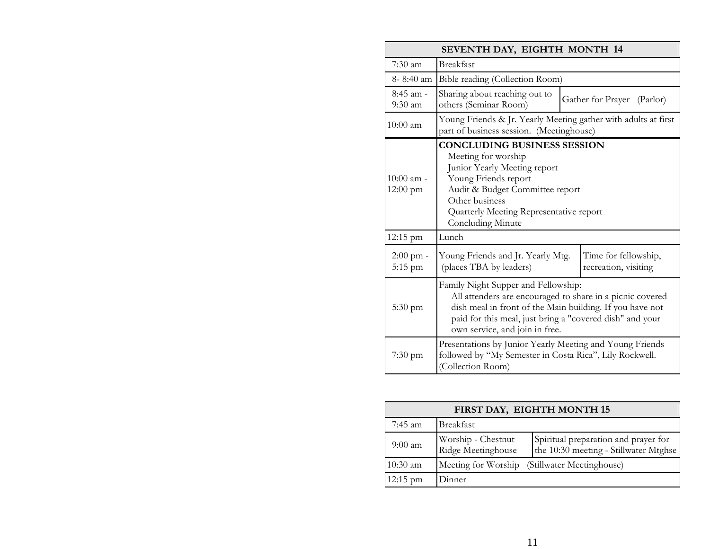| SEVENTH DAY, EIGHTH MONTH 14       |                                                                                                                                                                                                                                                            |  |  |  |
|------------------------------------|------------------------------------------------------------------------------------------------------------------------------------------------------------------------------------------------------------------------------------------------------------|--|--|--|
| $7:30$ am                          | <b>Breakfast</b>                                                                                                                                                                                                                                           |  |  |  |
| $8 - 8:40$ am                      | Bible reading (Collection Room)                                                                                                                                                                                                                            |  |  |  |
| $8:45$ am -<br>$9:30$ am           | Sharing about reaching out to<br>Gather for Prayer (Parlor)<br>others (Seminar Room)                                                                                                                                                                       |  |  |  |
| $10:00$ am                         | Young Friends & Jr. Yearly Meeting gather with adults at first<br>part of business session. (Meetinghouse)                                                                                                                                                 |  |  |  |
| $10:00$ am -<br>$12:00 \text{ pm}$ | <b>CONCLUDING BUSINESS SESSION</b><br>Meeting for worship<br>Junior Yearly Meeting report<br>Young Friends report<br>Audit & Budget Committee report<br>Other business<br>Quarterly Meeting Representative report<br>Concluding Minute                     |  |  |  |
| 12:15 pm                           | Lunch                                                                                                                                                                                                                                                      |  |  |  |
| $2:00$ pm -<br>$5:15$ pm           | Young Friends and Jr. Yearly Mtg.<br>Time for fellowship,<br>(places TBA by leaders)<br>recreation, visiting                                                                                                                                               |  |  |  |
| $5:30 \text{ pm}$                  | Family Night Supper and Fellowship:<br>All attenders are encouraged to share in a picnic covered<br>dish meal in front of the Main building. If you have not<br>paid for this meal, just bring a "covered dish" and your<br>own service, and join in free. |  |  |  |
| $7:30 \text{ pm}$                  | Presentations by Junior Yearly Meeting and Young Friends<br>followed by "My Semester in Costa Rica", Lily Rockwell.<br>(Collection Room)                                                                                                                   |  |  |  |

| FIRST DAY, EIGHTH MONTH 15 |                                          |                                                                               |  |
|----------------------------|------------------------------------------|-------------------------------------------------------------------------------|--|
| 7:45 am                    | <b>Breakfast</b>                         |                                                                               |  |
| $9:00 \text{ am}$          | Worship - Chestnut<br>Ridge Meetinghouse | Spiritual preparation and prayer for<br>the 10:30 meeting - Stillwater Mtghse |  |
| $10:30$ am                 | Meeting for Worship                      | (Stillwater Meetinghouse)                                                     |  |
| $12:15 \text{ pm}$         | Dinner                                   |                                                                               |  |